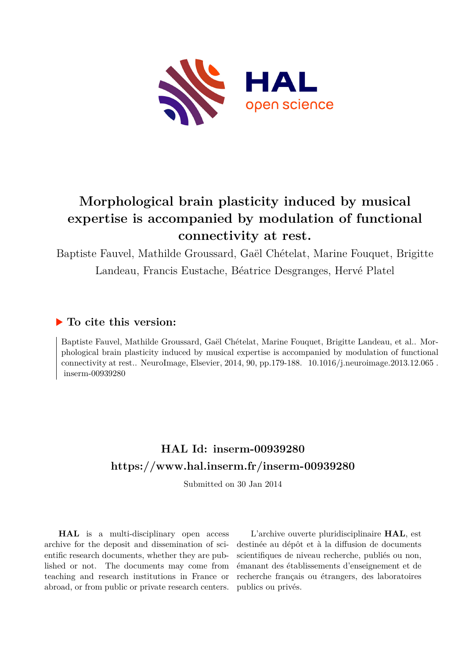

# **Morphological brain plasticity induced by musical expertise is accompanied by modulation of functional connectivity at rest.**

Baptiste Fauvel, Mathilde Groussard, Gaël Chételat, Marine Fouquet, Brigitte Landeau, Francis Eustache, Béatrice Desgranges, Hervé Platel

# **To cite this version:**

Baptiste Fauvel, Mathilde Groussard, Gaël Chételat, Marine Fouquet, Brigitte Landeau, et al.. Morphological brain plasticity induced by musical expertise is accompanied by modulation of functional connectivity at rest.. NeuroImage, Elsevier,  $2014$ ,  $90$ , pp.179-188.  $10.1016/j$ .neuroimage.2013.12.065.  $inserm-00939280$ 

# **HAL Id: inserm-00939280 <https://www.hal.inserm.fr/inserm-00939280>**

Submitted on 30 Jan 2014

**HAL** is a multi-disciplinary open access archive for the deposit and dissemination of scientific research documents, whether they are published or not. The documents may come from teaching and research institutions in France or abroad, or from public or private research centers.

L'archive ouverte pluridisciplinaire **HAL**, est destinée au dépôt et à la diffusion de documents scientifiques de niveau recherche, publiés ou non, émanant des établissements d'enseignement et de recherche français ou étrangers, des laboratoires publics ou privés.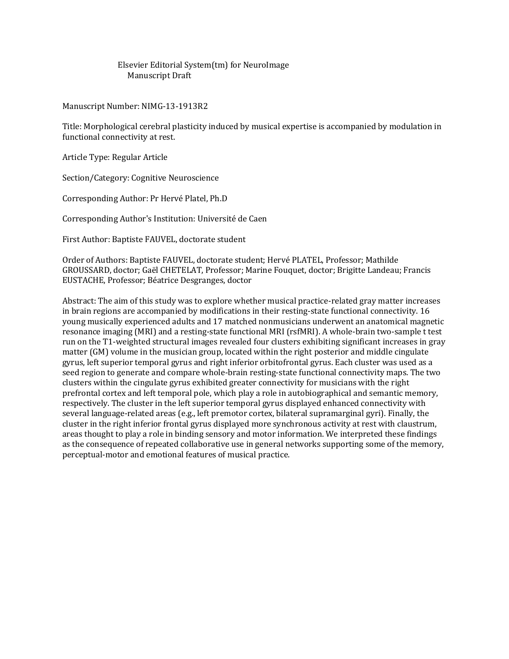Elsevier Editorial System(tm) for NeuroImage Manuscript Draft

Manuscript Number: NIMG-13-1913R2

Title: Morphological cerebral plasticity induced by musical expertise is accompanied by modulation in functional connectivity at rest.

Article Type: Regular Article

Section/Category: Cognitive Neuroscience

Corresponding Author: Pr Hervé Platel, Ph.D

Corresponding Author's Institution: Université de Caen

First Author: Baptiste FAUVEL, doctorate student

Order of Authors: Baptiste FAUVEL, doctorate student; Hervé PLATEL, Professor; Mathilde GROUSSARD, doctor; Gaël CHETELAT, Professor; Marine Fouquet, doctor; Brigitte Landeau; Francis EUSTACHE, Professor; Béatrice Desgranges, doctor

Abstract: The aim of this study was to explore whether musical practice-related gray matter increases in brain regions are accompanied by modifications in their resting-state functional connectivity. 16 young musically experienced adults and 17 matched nonmusicians underwent an anatomical magnetic resonance imaging (MRI) and a resting-state functional MRI (rsfMRI). A whole-brain two-sample t test run on the T1-weighted structural images revealed four clusters exhibiting significant increases in gray matter (GM) volume in the musician group, located within the right posterior and middle cingulate gyrus, left superior temporal gyrus and right inferior orbitofrontal gyrus. Each cluster was used as a seed region to generate and compare whole-brain resting-state functional connectivity maps. The two clusters within the cingulate gyrus exhibited greater connectivity for musicians with the right prefrontal cortex and left temporal pole, which play a role in autobiographical and semantic memory, respectively. The cluster in the left superior temporal gyrus displayed enhanced connectivity with several language-related areas (e.g., left premotor cortex, bilateral supramarginal gyri). Finally, the cluster in the right inferior frontal gyrus displayed more synchronous activity at rest with claustrum, areas thought to play a role in binding sensory and motor information. We interpreted these findings as the consequence of repeated collaborative use in general networks supporting some of the memory, perceptual-motor and emotional features of musical practice.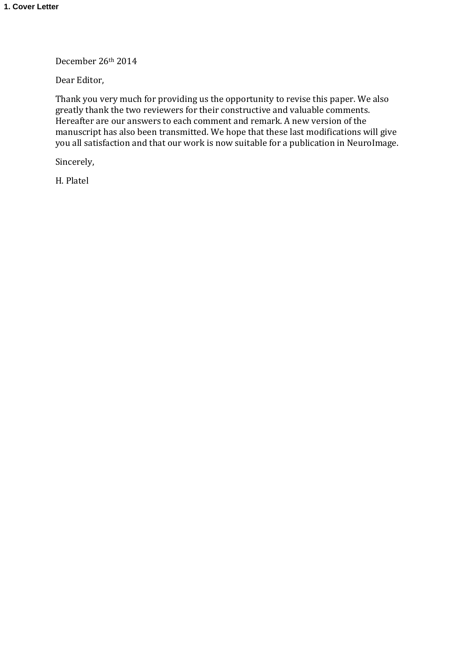December 26th 2014

Dear Editor,

Thank you very much for providing us the opportunity to revise this paper. We also greatly thank the two reviewers for their constructive and valuable comments. Hereafter are our answers to each comment and remark. A new version of the manuscript has also been transmitted. We hope that these last modifications will give you all satisfaction and that our work is now suitable for a publication in NeuroImage.

Sincerely,

H. Platel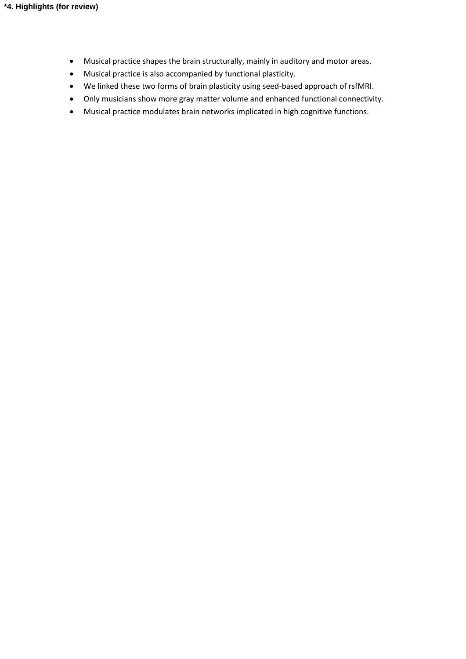- Musical practice shapes the brain structurally, mainly in auditory and motor areas.
- Musical practice is also accompanied by functional plasticity.
- We linked these two forms of brain plasticity using seed-based approach of rsfMRI.
- Only musicians show more gray matter volume and enhanced functional connectivity.
- Musical practice modulates brain networks implicated in high cognitive functions.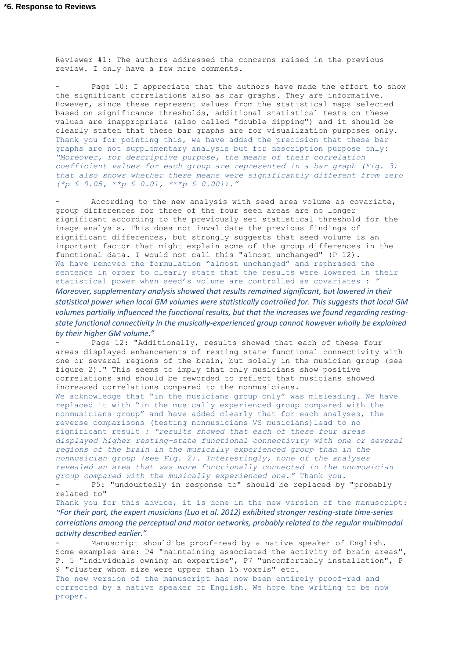proper.

Reviewer #1: The authors addressed the concerns raised in the previous review. I only have a few more comments.

Page 10: I appreciate that the authors have made the effort to show the significant correlations also as bar graphs. They are informative. However, since these represent values from the statistical maps selected based on significance thresholds, additional statistical tests on these values are inappropriate (also called "double dipping") and it should be clearly stated that these bar graphs are for visualization purposes only. Thank you for pointing this, we have added the precision that these bar graphs are not supplementary analysis but for description purpose only: *"Moreover, for descriptive purpose, the means of their correlation coefficient values for each group are represented in a bar graph (Fig. 3) that also shows whether these means were significantly different from zero (\*p ≤ 0.05, \*\*p ≤ 0.01, \*\*\*p ≤ 0.001)."*

According to the new analysis with seed area volume as covariate, group differences for three of the four seed areas are no longer significant according to the previously set statistical threshold for the image analysis. This does not invalidate the previous findings of significant differences, but strongly suggests that seed volume is an important factor that might explain some of the group differences in the functional data. I would not call this "almost unchanged" (P 12). We have removed the formulation "almost unchanged" and rephrased the sentence in order to clearly state that the results were lowered in their statistical power when seed's volume are controlled as covariates : *" Moreover, supplementary analysis showed that results remained significant, but lowered in their statistical power when local GM volumes were statistically controlled for. This suggests that local GM volumes partially influenced the functional results, but that the increases we found regarding restingstate functional connectivity in the musically-experienced group cannot however wholly be explained*  by their higher GM volume.<sup>"</sup>

Page 12: "Additionally, results showed that each of these four areas displayed enhancements of resting state functional connectivity with one or several regions of the brain, but solely in the musician group (see figure 2)." This seems to imply that only musicians show positive correlations and should be reworded to reflect that musicians showed increased correlations compared to the nonmusicians. We acknowledge that "in the musicians group only" was misleading. We have replaced it with "in the musically experienced group compared with the nonmusicians group" and have added clearly that for each analyses, the reverse comparisons (testing nonmusicians VS musicians)lead to no significant result *: "results showed that each of these four areas displayed higher resting-state functional connectivity with one or several regions of the brain in the musically experienced group than in the nonmusician group (see Fig. 2). Interestingly, none of the analyses revealed an area that was more functionally connected in the nonmusician group compared with the musically experienced one."* Thank you.

P5: "undoubtedly in response to" should be replaced by "probably related to"

Thank you for this advice, it is done in the new version of the manuscript: *"For their part, the expert musicians (Luo et al. 2012) exhibited stronger resting-state time-series correlations among the perceptual and motor networks, probably related to the regular multimodal activity described earlier.͟*

Manuscript should be proof-read by a native speaker of English. Some examples are: P4 "maintaining associated the activity of brain areas", P. 5 "individuals owning an expertise", P7 "uncomfortably installation", P 9 "cluster whom size were upper than 15 voxels" etc. The new version of the manuscript has now been entirely proof-red and corrected by a native speaker of English. We hope the writing to be now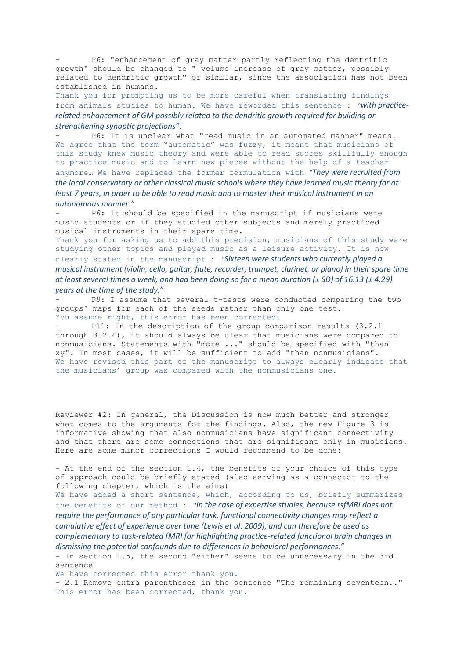- P6: "enhancement of gray matter partly reflecting the dentritic growth" should be changed to " volume increase of gray matter, possibly related to dendritic growth" or similar, since the association has not been established in humans.

Thank you for prompting us to be more careful when translating findings from animals studies to human. We have reworded this sentence : *"with practicerelated enhancement of GM possibly related to the dendritic growth required for building or strengthening synaptic projections͟.*

- P6: It is unclear what "read music in an automated manner" means. We agree that the term "automatic" was fuzzy, it meant that musicians of this study knew music theory and were able to read scores skillfully enough to practice music and to learn new pieces without the help of a teacher anymore… We have replaced the former formulation with *͞They were recruited from the local conservatory or other classical music schools where they have learned music theory for at least 7 years, in order to be able to read music and to master their musical instrument in an autonomous manner.͟*

- P6: It should be specified in the manuscript if musicians were music students or if they studied other subjects and merely practiced musical instruments in their spare time.

Thank you for asking us to add this precision, musicians of this study were studying other topics and played music as a leisure activity. It is now clearly stated in the manuscript : *"Sixteen were students who currently played a musical instrument (violin, cello, guitar, flute, recorder, trumpet, clarinet, or piano) in their spare time at least several times a week, and had been doing so for a mean duration (± SD) of 16.13 (± 4.29) years at the time of the study.͟*

P9: I assume that several t-tests were conducted comparing the two groups' maps for each of the seeds rather than only one test. You assume right, this error has been corrected.

P11: In the description of the group comparison results (3.2.1) through 3.2.4), it should always be clear that musicians were compared to nonmusicians. Statements with "more ..." should be specified with "than xy". In most cases, it will be sufficient to add "than nonmusicians". We have revised this part of the manuscript to always clearly indicate that the musicians' group was compared with the nonmusicians one.

Reviewer #2: In general, the Discussion is now much better and stronger what comes to the arguments for the findings. Also, the new Figure 3 is informative showing that also nonmusicians have significant connectivity and that there are some connections that are significant only in musicians. Here are some minor corrections I would recommend to be done:

- At the end of the section 1.4, the benefits of your choice of this type of approach could be briefly stated (also serving as a connector to the following chapter, which is the aims)

We have added a short sentence, which, according to us, briefly summarizes the benefits of our method : *"In the case of expertise studies, because rsfMRI does not require the performance of any particular task, functional connectivity changes may reflect a cumulative effect of experience over time (Lewis et al. 2009), and can therefore be used as complementary to task-related fMRI for highlighting practice-related functional brain changes in dismissing the potential confounds due to differences in behavioral performances.*<sup>*"*</sup>

- In section 1.5, the second "either" seems to be unnecessary in the 3rd sentence

We have corrected this error thank you.

- 2.1 Remove extra parentheses in the sentence "The remaining seventeen.." This error has been corrected, thank you.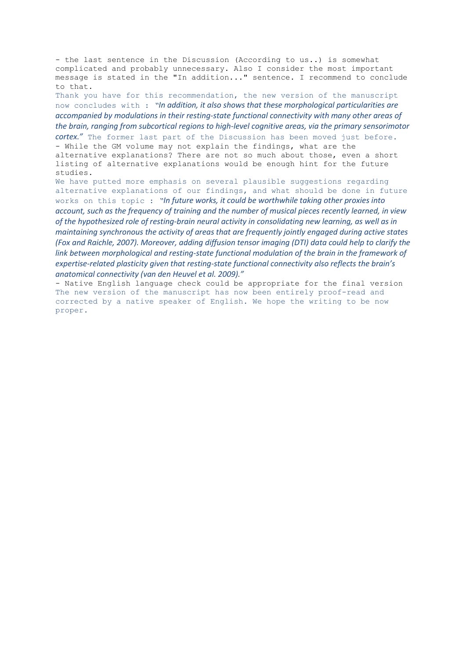- the last sentence in the Discussion (According to us..) is somewhat complicated and probably unnecessary. Also I consider the most important message is stated in the "In addition..." sentence. I recommend to conclude to that.

Thank you have for this recommendation, the new version of the manuscript now concludes with : *"In addition, it also shows that these morphological particularities are accompanied by modulations in their resting-state functional connectivity with many other areas of the brain, ranging from subcortical regions to high-level cognitive areas, via the primary sensorimotor* 

*cortex.͟* The former last part of the Discussion has been moved just before. - While the GM volume may not explain the findings, what are the alternative explanations? There are not so much about those, even a short listing of alternative explanations would be enough hint for the future studies.

We have putted more emphasis on several plausible suggestions regarding alternative explanations of our findings, and what should be done in future works on this topic : *"In future works, it could be worthwhile taking other proxies into account, such as the frequency of training and the number of musical pieces recently learned, in view of the hypothesized role of resting-brain neural activity in consolidating new learning, as well as in maintaining synchronous the activity of areas that are frequently jointly engaged during active states (Fox and Raichle, 2007). Moreover, adding diffusion tensor imaging (DTI) data could help to clarify the link between morphological and resting-state functional modulation of the brain in the framework of expertise-related plasticity given that resting-state functional connectivity also reflects the brain's anatomical connectivity (van den Heuvel et al. 2009).͟*

- Native English language check could be appropriate for the final version The new version of the manuscript has now been entirely proof-read and corrected by a native speaker of English. We hope the writing to be now proper.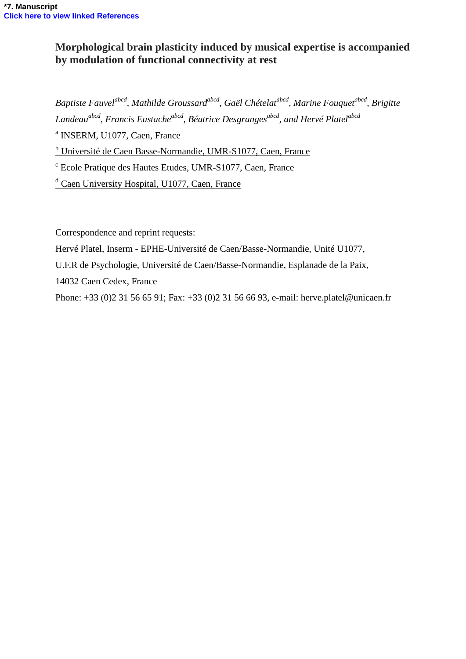# **Morphological brain plasticity induced by musical expertise is accompanied by modulation of functional connectivity at rest**

*Baptiste Fauvelabcd, Mathilde Groussardabcd, Gaël Chételatabcd, Marine Fouquetabcd, Brigitte Landeauabcd, Francis Eustacheabcd, Béatrice Desgrangesabcd, and Hervé Platelabcd* 

<sup>a</sup> INSERM, U1077, Caen, France

<sup>b</sup> Université de Caen Basse-Normandie, UMR-S1077, Caen, France

<sup>c</sup> Ecole Pratique des Hautes Etudes, UMR-S1077, Caen, France

<sup>d</sup> Caen University Hospital, U1077, Caen, France

Correspondence and reprint requests:

Hervé Platel, Inserm - EPHE-Université de Caen/Basse-Normandie, Unité U1077,

U.F.R de Psychologie, Université de Caen/Basse-Normandie, Esplanade de la Paix,

14032 Caen Cedex, France

Phone: +33 (0)2 31 56 65 91; Fax: +33 (0)2 31 56 66 93, e-mail: herve.platel@unicaen.fr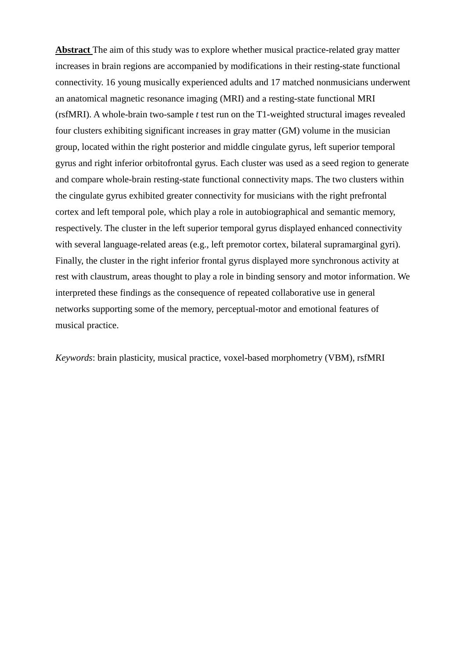**Abstract** The aim of this study was to explore whether musical practice-related gray matter increases in brain regions are accompanied by modifications in their resting-state functional connectivity. 16 young musically experienced adults and 17 matched nonmusicians underwent an anatomical magnetic resonance imaging (MRI) and a resting-state functional MRI (rsfMRI). A whole-brain two-sample *t* test run on the T1-weighted structural images revealed four clusters exhibiting significant increases in gray matter (GM) volume in the musician group, located within the right posterior and middle cingulate gyrus, left superior temporal gyrus and right inferior orbitofrontal gyrus. Each cluster was used as a seed region to generate and compare whole-brain resting-state functional connectivity maps. The two clusters within the cingulate gyrus exhibited greater connectivity for musicians with the right prefrontal cortex and left temporal pole, which play a role in autobiographical and semantic memory, respectively. The cluster in the left superior temporal gyrus displayed enhanced connectivity with several language-related areas (e.g., left premotor cortex, bilateral supramarginal gyri). Finally, the cluster in the right inferior frontal gyrus displayed more synchronous activity at rest with claustrum, areas thought to play a role in binding sensory and motor information. We interpreted these findings as the consequence of repeated collaborative use in general networks supporting some of the memory, perceptual-motor and emotional features of musical practice.

*Keywords*: brain plasticity, musical practice, voxel-based morphometry (VBM), rsfMRI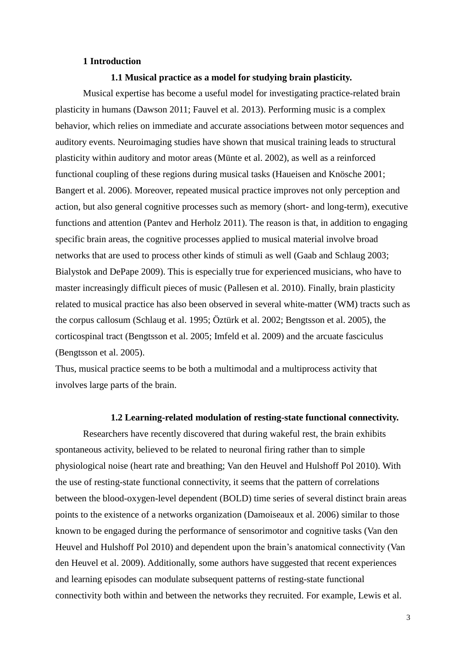# **1 Introduction**

### **1.1 Musical practice as a model for studying brain plasticity.**

Musical expertise has become a useful model for investigating practice-related brain plasticity in humans (Dawson 2011; Fauvel et al. 2013). Performing music is a complex behavior, which relies on immediate and accurate associations between motor sequences and auditory events. Neuroimaging studies have shown that musical training leads to structural plasticity within auditory and motor areas (Münte et al. 2002), as well as a reinforced functional coupling of these regions during musical tasks (Haueisen and Knösche 2001; Bangert et al. 2006). Moreover, repeated musical practice improves not only perception and action, but also general cognitive processes such as memory (short- and long-term), executive functions and attention (Pantev and Herholz 2011). The reason is that, in addition to engaging specific brain areas, the cognitive processes applied to musical material involve broad networks that are used to process other kinds of stimuli as well (Gaab and Schlaug 2003; Bialystok and DePape 2009). This is especially true for experienced musicians, who have to master increasingly difficult pieces of music (Pallesen et al. 2010). Finally, brain plasticity related to musical practice has also been observed in several white-matter (WM) tracts such as the corpus callosum (Schlaug et al. 1995; Öztürk et al. 2002; Bengtsson et al. 2005), the corticospinal tract (Bengtsson et al. 2005; Imfeld et al. 2009) and the arcuate fasciculus (Bengtsson et al. 2005).

Thus, musical practice seems to be both a multimodal and a multiprocess activity that involves large parts of the brain.

#### **1.2 Learning-related modulation of resting-state functional connectivity.**

Researchers have recently discovered that during wakeful rest, the brain exhibits spontaneous activity, believed to be related to neuronal firing rather than to simple physiological noise (heart rate and breathing; Van den Heuvel and Hulshoff Pol 2010). With the use of resting-state functional connectivity, it seems that the pattern of correlations between the blood-oxygen-level dependent (BOLD) time series of several distinct brain areas points to the existence of a networks organization (Damoiseaux et al. 2006) similar to those known to be engaged during the performance of sensorimotor and cognitive tasks (Van den Heuvel and Hulshoff Pol 2010) and dependent upon the brain"s anatomical connectivity (Van den Heuvel et al. 2009). Additionally, some authors have suggested that recent experiences and learning episodes can modulate subsequent patterns of resting-state functional connectivity both within and between the networks they recruited. For example, Lewis et al.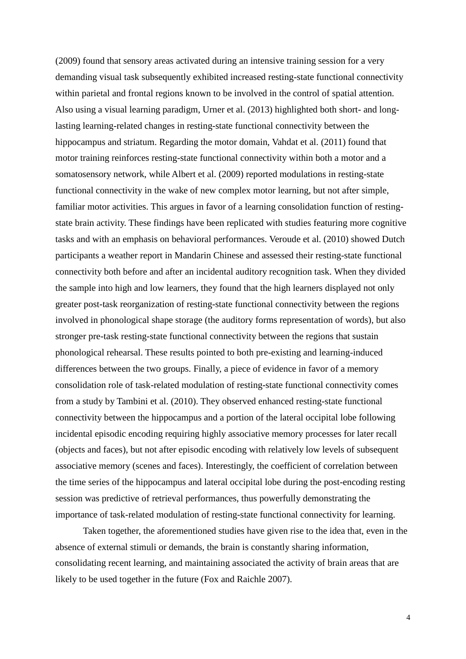(2009) found that sensory areas activated during an intensive training session for a very demanding visual task subsequently exhibited increased resting-state functional connectivity within parietal and frontal regions known to be involved in the control of spatial attention. Also using a visual learning paradigm, Urner et al. (2013) highlighted both short- and longlasting learning-related changes in resting-state functional connectivity between the hippocampus and striatum. Regarding the motor domain, Vahdat et al. (2011) found that motor training reinforces resting-state functional connectivity within both a motor and a somatosensory network, while Albert et al. (2009) reported modulations in resting-state functional connectivity in the wake of new complex motor learning, but not after simple, familiar motor activities. This argues in favor of a learning consolidation function of restingstate brain activity. These findings have been replicated with studies featuring more cognitive tasks and with an emphasis on behavioral performances. Veroude et al. (2010) showed Dutch participants a weather report in Mandarin Chinese and assessed their resting-state functional connectivity both before and after an incidental auditory recognition task. When they divided the sample into high and low learners, they found that the high learners displayed not only greater post-task reorganization of resting-state functional connectivity between the regions involved in phonological shape storage (the auditory forms representation of words), but also stronger pre-task resting-state functional connectivity between the regions that sustain phonological rehearsal. These results pointed to both pre-existing and learning-induced differences between the two groups. Finally, a piece of evidence in favor of a memory consolidation role of task-related modulation of resting-state functional connectivity comes from a study by Tambini et al. (2010). They observed enhanced resting-state functional connectivity between the hippocampus and a portion of the lateral occipital lobe following incidental episodic encoding requiring highly associative memory processes for later recall (objects and faces), but not after episodic encoding with relatively low levels of subsequent associative memory (scenes and faces). Interestingly, the coefficient of correlation between the time series of the hippocampus and lateral occipital lobe during the post-encoding resting session was predictive of retrieval performances, thus powerfully demonstrating the importance of task-related modulation of resting-state functional connectivity for learning.

Taken together, the aforementioned studies have given rise to the idea that, even in the absence of external stimuli or demands, the brain is constantly sharing information, consolidating recent learning, and maintaining associated the activity of brain areas that are likely to be used together in the future (Fox and Raichle 2007).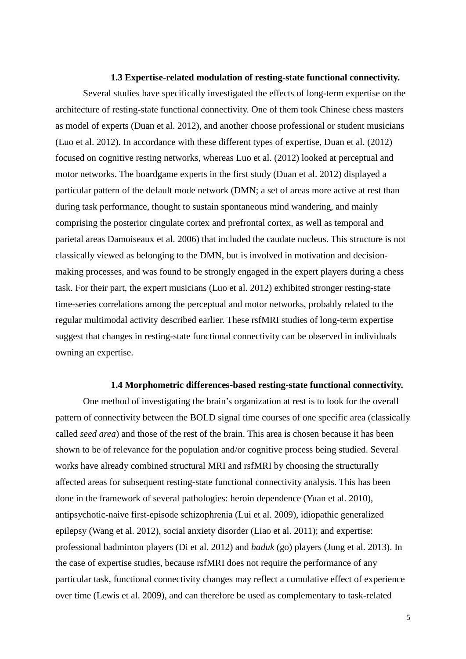#### **1.3 Expertise-related modulation of resting-state functional connectivity.**

Several studies have specifically investigated the effects of long-term expertise on the architecture of resting-state functional connectivity. One of them took Chinese chess masters as model of experts (Duan et al. 2012), and another choose professional or student musicians (Luo et al. 2012). In accordance with these different types of expertise, Duan et al. (2012) focused on cognitive resting networks, whereas Luo et al. (2012) looked at perceptual and motor networks. The boardgame experts in the first study (Duan et al. 2012) displayed a particular pattern of the default mode network (DMN; a set of areas more active at rest than during task performance, thought to sustain spontaneous mind wandering, and mainly comprising the posterior cingulate cortex and prefrontal cortex, as well as temporal and parietal areas Damoiseaux et al. 2006) that included the caudate nucleus. This structure is not classically viewed as belonging to the DMN, but is involved in motivation and decisionmaking processes, and was found to be strongly engaged in the expert players during a chess task. For their part, the expert musicians (Luo et al. 2012) exhibited stronger resting-state time-series correlations among the perceptual and motor networks, probably related to the regular multimodal activity described earlier. These rsfMRI studies of long-term expertise suggest that changes in resting-state functional connectivity can be observed in individuals owning an expertise.

#### **1.4 Morphometric differences-based resting-state functional connectivity.**

One method of investigating the brain"s organization at rest is to look for the overall pattern of connectivity between the BOLD signal time courses of one specific area (classically called *seed area*) and those of the rest of the brain. This area is chosen because it has been shown to be of relevance for the population and/or cognitive process being studied. Several works have already combined structural MRI and rsfMRI by choosing the structurally affected areas for subsequent resting-state functional connectivity analysis. This has been done in the framework of several pathologies: heroin dependence (Yuan et al. 2010), antipsychotic-naive first-episode schizophrenia (Lui et al. 2009), idiopathic generalized epilepsy (Wang et al. 2012), social anxiety disorder (Liao et al. 2011); and expertise: professional badminton players (Di et al. 2012) and *baduk* (go) players (Jung et al. 2013). In the case of expertise studies, because rsfMRI does not require the performance of any particular task, functional connectivity changes may reflect a cumulative effect of experience over time (Lewis et al. 2009), and can therefore be used as complementary to task-related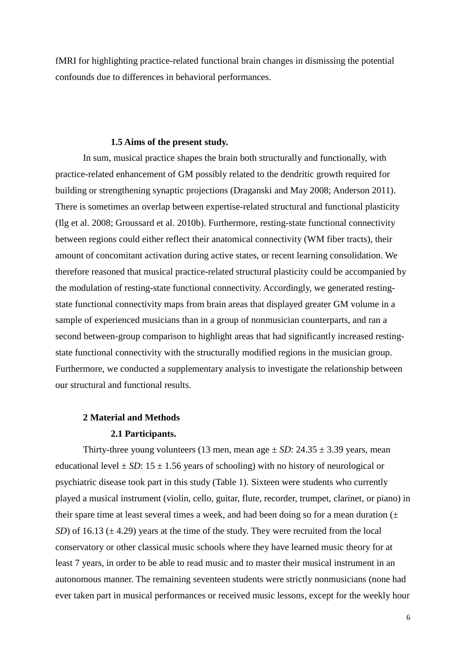fMRI for highlighting practice-related functional brain changes in dismissing the potential confounds due to differences in behavioral performances.

### **1.5 Aims of the present study.**

In sum, musical practice shapes the brain both structurally and functionally, with practice-related enhancement of GM possibly related to the dendritic growth required for building or strengthening synaptic projections (Draganski and May 2008; Anderson 2011). There is sometimes an overlap between expertise-related structural and functional plasticity (Ilg et al. 2008; Groussard et al. 2010b). Furthermore, resting-state functional connectivity between regions could either reflect their anatomical connectivity (WM fiber tracts), their amount of concomitant activation during active states, or recent learning consolidation. We therefore reasoned that musical practice-related structural plasticity could be accompanied by the modulation of resting-state functional connectivity. Accordingly, we generated restingstate functional connectivity maps from brain areas that displayed greater GM volume in a sample of experienced musicians than in a group of nonmusician counterparts, and ran a second between-group comparison to highlight areas that had significantly increased restingstate functional connectivity with the structurally modified regions in the musician group. Furthermore, we conducted a supplementary analysis to investigate the relationship between our structural and functional results.

#### **2 Material and Methods**

#### **2.1 Participants.**

Thirty-three young volunteers (13 men, mean age  $\pm SD$ : 24.35  $\pm$  3.39 years, mean educational level  $\pm SD$ : 15  $\pm$  1.56 years of schooling) with no history of neurological or psychiatric disease took part in this study (Table 1). Sixteen were students who currently played a musical instrument (violin, cello, guitar, flute, recorder, trumpet, clarinet, or piano) in their spare time at least several times a week, and had been doing so for a mean duration  $(±)$ *SD*) of 16.13 ( $\pm$  4.29) years at the time of the study. They were recruited from the local conservatory or other classical music schools where they have learned music theory for at least 7 years, in order to be able to read music and to master their musical instrument in an autonomous manner. The remaining seventeen students were strictly nonmusicians (none had ever taken part in musical performances or received music lessons, except for the weekly hour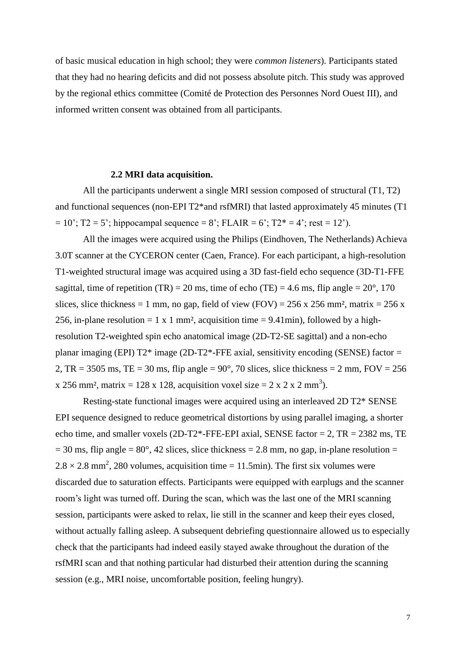of basic musical education in high school; they were *common listeners*). Participants stated that they had no hearing deficits and did not possess absolute pitch. This study was approved by the regional ethics committee (Comité de Protection des Personnes Nord Ouest III), and informed written consent was obtained from all participants.

#### **2.2 MRI data acquisition.**

All the participants underwent a single MRI session composed of structural (T1, T2) and functional sequences (non-EPI T2\*and rsfMRI) that lasted approximately 45 minutes (T1  $= 10$ "; T2 = 5"; hippocampal sequence = 8"; FLAIR = 6"; T2\* = 4"; rest = 12").

All the images were acquired using the Philips (Eindhoven, The Netherlands) Achieva 3.0T scanner at the CYCERON center (Caen, France). For each participant, a high-resolution T1-weighted structural image was acquired using a 3D fast-field echo sequence (3D-T1-FFE sagittal, time of repetition (TR) = 20 ms, time of echo (TE) = 4.6 ms, flip angle =  $20^{\circ}$ , 170 slices, slice thickness = 1 mm, no gap, field of view (FOV) = 256 x 256 mm<sup>2</sup>, matrix = 256 x 256, in-plane resolution = 1 x 1 mm<sup>2</sup>, acquisition time = 9.41min), followed by a highresolution T2-weighted spin echo anatomical image (2D-T2-SE sagittal) and a non-echo planar imaging (EPI)  $T2^*$  image (2D-T2\*-FFE axial, sensitivity encoding (SENSE) factor = 2, TR = 3505 ms, TE = 30 ms, flip angle =  $90^{\circ}$ , 70 slices, slice thickness = 2 mm, FOV = 256 x 256 mm<sup>2</sup>, matrix = 128 x 128, acquisition voxel size = 2 x 2 x 2 mm<sup>3</sup>).

Resting-state functional images were acquired using an interleaved 2D T2\* SENSE EPI sequence designed to reduce geometrical distortions by using parallel imaging, a shorter echo time, and smaller voxels (2D-T2\*-FFE-EPI axial, SENSE factor = 2,  $TR = 2382$  ms,  $TE$  $= 30$  ms, flip angle  $= 80^{\circ}$ , 42 slices, slice thickness  $= 2.8$  mm, no gap, in-plane resolution  $=$  $2.8 \times 2.8$  mm<sup>2</sup>, 280 volumes, acquisition time = 11.5min). The first six volumes were discarded due to saturation effects. Participants were equipped with earplugs and the scanner room"s light was turned off. During the scan, which was the last one of the MRI scanning session, participants were asked to relax, lie still in the scanner and keep their eyes closed, without actually falling asleep. A subsequent debriefing questionnaire allowed us to especially check that the participants had indeed easily stayed awake throughout the duration of the rsfMRI scan and that nothing particular had disturbed their attention during the scanning session (e.g., MRI noise, uncomfortable position, feeling hungry).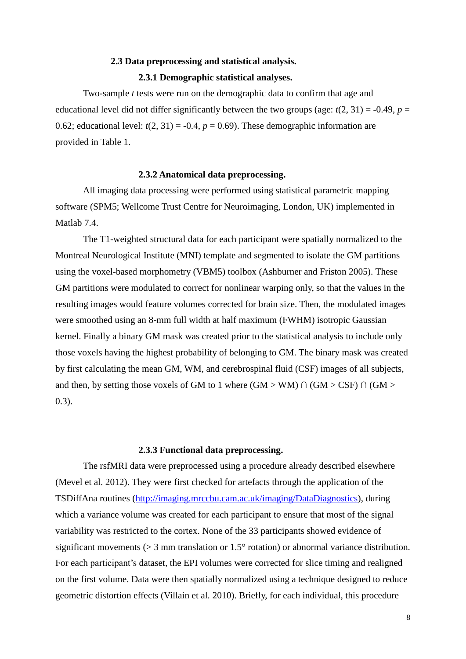### **2.3 Data preprocessing and statistical analysis.**

### **2.3.1 Demographic statistical analyses.**

Two-sample *t* tests were run on the demographic data to confirm that age and educational level did not differ significantly between the two groups (age:  $t(2, 31) = -0.49$ ,  $p =$ 0.62; educational level:  $t(2, 31) = -0.4$ ,  $p = 0.69$ ). These demographic information are provided in Table 1.

#### **2.3.2 Anatomical data preprocessing.**

All imaging data processing were performed using statistical parametric mapping software (SPM5; Wellcome Trust Centre for Neuroimaging, London, UK) implemented in Matlab 7.4.

The T1-weighted structural data for each participant were spatially normalized to the Montreal Neurological Institute (MNI) template and segmented to isolate the GM partitions using the voxel-based morphometry (VBM5) toolbox (Ashburner and Friston 2005). These GM partitions were modulated to correct for nonlinear warping only, so that the values in the resulting images would feature volumes corrected for brain size. Then, the modulated images were smoothed using an 8-mm full width at half maximum (FWHM) isotropic Gaussian kernel. Finally a binary GM mask was created prior to the statistical analysis to include only those voxels having the highest probability of belonging to GM. The binary mask was created by first calculating the mean GM, WM, and cerebrospinal fluid (CSF) images of all subjects, and then, by setting those voxels of GM to 1 where (GM > WM)  $\cap$  (GM > CSF)  $\cap$  (GM > 0.3).

# **2.3.3 Functional data preprocessing.**

The rsfMRI data were preprocessed using a procedure already described elsewhere (Mevel et al. 2012). They were first checked for artefacts through the application of the TSDiffAna routines [\(http://imaging.mrccbu.cam.ac.uk/imaging/DataDiagnostics\)](http://imaging.mrccbu.cam.ac.uk/imaging/DataDiagnostics), during which a variance volume was created for each participant to ensure that most of the signal variability was restricted to the cortex. None of the 33 participants showed evidence of significant movements ( $> 3$  mm translation or  $1.5^{\circ}$  rotation) or abnormal variance distribution. For each participant's dataset, the EPI volumes were corrected for slice timing and realigned on the first volume. Data were then spatially normalized using a technique designed to reduce geometric distortion effects (Villain et al*.* 2010). Briefly, for each individual, this procedure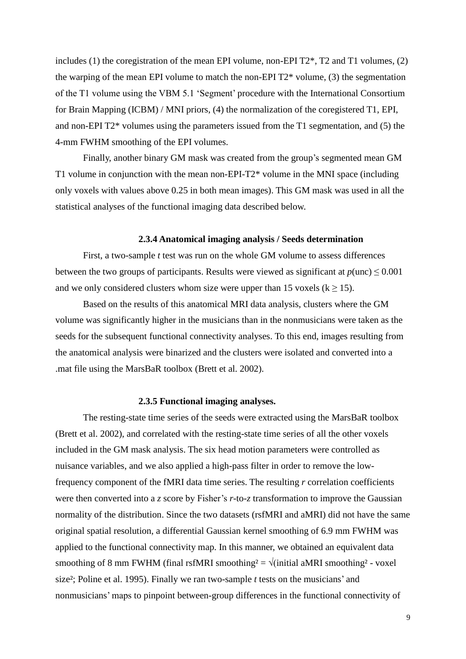includes (1) the coregistration of the mean EPI volume, non-EPI T2\*, T2 and T1 volumes, (2) the warping of the mean EPI volume to match the non-EPI  $T2^*$  volume, (3) the segmentation of the T1 volume using the VBM 5.1 "Segment" procedure with the International Consortium for Brain Mapping (ICBM) / MNI priors, (4) the normalization of the coregistered T1, EPI, and non-EPI T2\* volumes using the parameters issued from the T1 segmentation, and (5) the 4-mm FWHM smoothing of the EPI volumes.

Finally, another binary GM mask was created from the group's segmented mean GM T1 volume in conjunction with the mean non-EPI-T2\* volume in the MNI space (including only voxels with values above 0.25 in both mean images). This GM mask was used in all the statistical analyses of the functional imaging data described below.

#### **2.3.4 Anatomical imaging analysis / Seeds determination**

First, a two-sample *t* test was run on the whole GM volume to assess differences between the two groups of participants. Results were viewed as significant at  $p(\text{unc}) \leq 0.001$ and we only considered clusters whom size were upper than 15 voxels ( $k \ge 15$ ).

Based on the results of this anatomical MRI data analysis, clusters where the GM volume was significantly higher in the musicians than in the nonmusicians were taken as the seeds for the subsequent functional connectivity analyses. To this end, images resulting from the anatomical analysis were binarized and the clusters were isolated and converted into a .mat file using the MarsBaR toolbox (Brett et al. 2002).

### **2.3.5 Functional imaging analyses.**

The resting-state time series of the seeds were extracted using the MarsBaR toolbox (Brett et al. 2002), and correlated with the resting-state time series of all the other voxels included in the GM mask analysis. The six head motion parameters were controlled as nuisance variables, and we also applied a high-pass filter in order to remove the lowfrequency component of the fMRI data time series. The resulting *r* correlation coefficients were then converted into a *z* score by Fisher's *r*-to-*z* transformation to improve the Gaussian normality of the distribution. Since the two datasets (rsfMRI and aMRI) did not have the same original spatial resolution, a differential Gaussian kernel smoothing of 6.9 mm FWHM was applied to the functional connectivity map. In this manner, we obtained an equivalent data smoothing of 8 mm FWHM (final rsfMRI smoothing<sup>2</sup> =  $\sqrt{\text{(initial aMRI smoothing}^2 - \text{voxel}}$ ) size²; Poline et al. 1995). Finally we ran two-sample *t* tests on the musicians" and nonmusicians" maps to pinpoint between-group differences in the functional connectivity of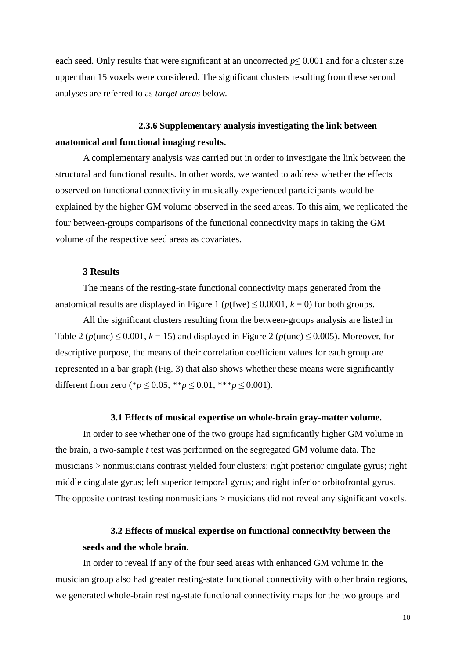each seed. Only results that were significant at an uncorrected  $p \leq 0.001$  and for a cluster size upper than 15 voxels were considered. The significant clusters resulting from these second analyses are referred to as *target areas* below.

# **2.3.6 Supplementary analysis investigating the link between anatomical and functional imaging results.**

A complementary analysis was carried out in order to investigate the link between the structural and functional results. In other words, we wanted to address whether the effects observed on functional connectivity in musically experienced partcicipants would be explained by the higher GM volume observed in the seed areas. To this aim, we replicated the four between-groups comparisons of the functional connectivity maps in taking the GM volume of the respective seed areas as covariates.

### **3 Results**

The means of the resting-state functional connectivity maps generated from the anatomical results are displayed in Figure 1 ( $p$ (fwe)  $\leq$  0.0001,  $k$  = 0) for both groups.

All the significant clusters resulting from the between-groups analysis are listed in Table 2 ( $p(\text{unc}) \le 0.001$ ,  $k = 15$ ) and displayed in Figure 2 ( $p(\text{unc}) \le 0.005$ ). Moreover, for descriptive purpose, the means of their correlation coefficient values for each group are represented in a bar graph (Fig. 3) that also shows whether these means were significantly different from zero (\* $p \le 0.05$ , \*\* $p \le 0.01$ , \*\*\* $p \le 0.001$ ).

### **3.1 Effects of musical expertise on whole-brain gray-matter volume.**

In order to see whether one of the two groups had significantly higher GM volume in the brain, a two-sample *t* test was performed on the segregated GM volume data. The musicians > nonmusicians contrast yielded four clusters: right posterior cingulate gyrus; right middle cingulate gyrus; left superior temporal gyrus; and right inferior orbitofrontal gyrus. The opposite contrast testing nonmusicians > musicians did not reveal any significant voxels.

# **3.2 Effects of musical expertise on functional connectivity between the seeds and the whole brain.**

In order to reveal if any of the four seed areas with enhanced GM volume in the musician group also had greater resting-state functional connectivity with other brain regions, we generated whole-brain resting-state functional connectivity maps for the two groups and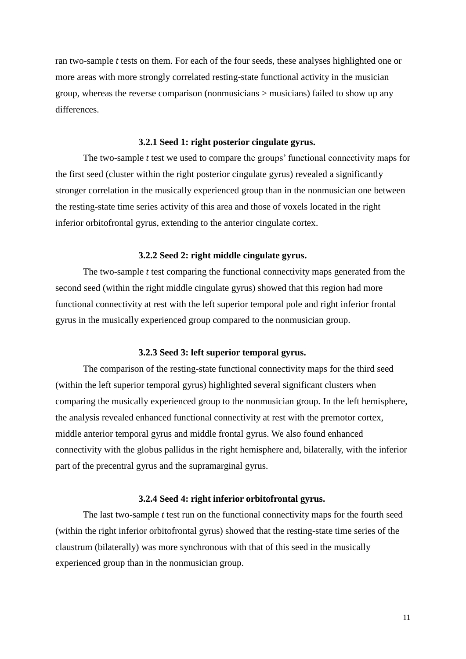ran two-sample *t* tests on them. For each of the four seeds, these analyses highlighted one or more areas with more strongly correlated resting-state functional activity in the musician group, whereas the reverse comparison (nonmusicians > musicians) failed to show up any differences.

### **3.2.1 Seed 1: right posterior cingulate gyrus.**

The two-sample *t* test we used to compare the groups' functional connectivity maps for the first seed (cluster within the right posterior cingulate gyrus) revealed a significantly stronger correlation in the musically experienced group than in the nonmusician one between the resting-state time series activity of this area and those of voxels located in the right inferior orbitofrontal gyrus, extending to the anterior cingulate cortex.

# **3.2.2 Seed 2: right middle cingulate gyrus.**

 The two-sample *t* test comparing the functional connectivity maps generated from the second seed (within the right middle cingulate gyrus) showed that this region had more functional connectivity at rest with the left superior temporal pole and right inferior frontal gyrus in the musically experienced group compared to the nonmusician group.

### **3.2.3 Seed 3: left superior temporal gyrus.**

The comparison of the resting-state functional connectivity maps for the third seed (within the left superior temporal gyrus) highlighted several significant clusters when comparing the musically experienced group to the nonmusician group. In the left hemisphere, the analysis revealed enhanced functional connectivity at rest with the premotor cortex, middle anterior temporal gyrus and middle frontal gyrus. We also found enhanced connectivity with the globus pallidus in the right hemisphere and, bilaterally, with the inferior part of the precentral gyrus and the supramarginal gyrus.

### **3.2.4 Seed 4: right inferior orbitofrontal gyrus.**

The last two-sample *t* test run on the functional connectivity maps for the fourth seed (within the right inferior orbitofrontal gyrus) showed that the resting-state time series of the claustrum (bilaterally) was more synchronous with that of this seed in the musically experienced group than in the nonmusician group.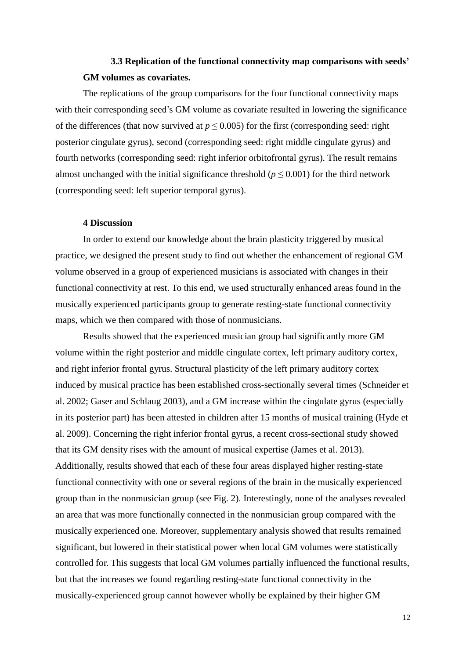# **3.3 Replication of the functional connectivity map comparisons with seeds' GM volumes as covariates.**

The replications of the group comparisons for the four functional connectivity maps with their corresponding seed's GM volume as covariate resulted in lowering the significance of the differences (that now survived at  $p \leq 0.005$ ) for the first (corresponding seed: right posterior cingulate gyrus), second (corresponding seed: right middle cingulate gyrus) and fourth networks (corresponding seed: right inferior orbitofrontal gyrus). The result remains almost unchanged with the initial significance threshold ( $p \le 0.001$ ) for the third network (corresponding seed: left superior temporal gyrus).

# **4 Discussion**

 In order to extend our knowledge about the brain plasticity triggered by musical practice, we designed the present study to find out whether the enhancement of regional GM volume observed in a group of experienced musicians is associated with changes in their functional connectivity at rest. To this end, we used structurally enhanced areas found in the musically experienced participants group to generate resting-state functional connectivity maps, which we then compared with those of nonmusicians.

Results showed that the experienced musician group had significantly more GM volume within the right posterior and middle cingulate cortex, left primary auditory cortex, and right inferior frontal gyrus. Structural plasticity of the left primary auditory cortex induced by musical practice has been established cross-sectionally several times (Schneider et al. 2002; Gaser and Schlaug 2003), and a GM increase within the cingulate gyrus (especially in its posterior part) has been attested in children after 15 months of musical training (Hyde et al. 2009). Concerning the right inferior frontal gyrus, a recent cross-sectional study showed that its GM density rises with the amount of musical expertise (James et al. 2013). Additionally, results showed that each of these four areas displayed higher resting-state functional connectivity with one or several regions of the brain in the musically experienced group than in the nonmusician group (see Fig. 2). Interestingly, none of the analyses revealed an area that was more functionally connected in the nonmusician group compared with the musically experienced one. Moreover, supplementary analysis showed that results remained significant, but lowered in their statistical power when local GM volumes were statistically controlled for. This suggests that local GM volumes partially influenced the functional results, but that the increases we found regarding resting-state functional connectivity in the musically-experienced group cannot however wholly be explained by their higher GM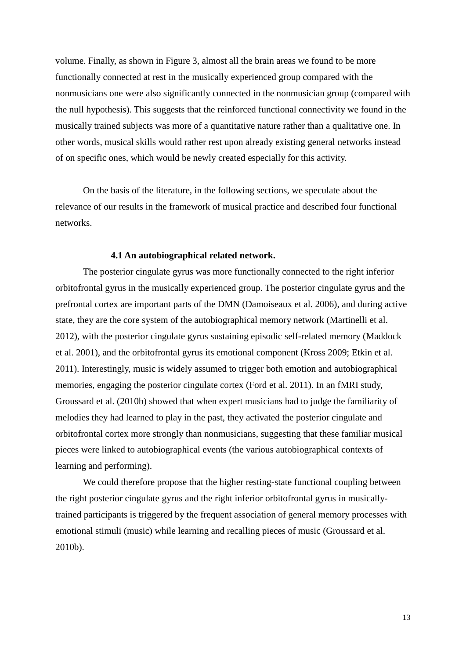volume. Finally, as shown in Figure 3, almost all the brain areas we found to be more functionally connected at rest in the musically experienced group compared with the nonmusicians one were also significantly connected in the nonmusician group (compared with the null hypothesis). This suggests that the reinforced functional connectivity we found in the musically trained subjects was more of a quantitative nature rather than a qualitative one. In other words, musical skills would rather rest upon already existing general networks instead of on specific ones, which would be newly created especially for this activity.

On the basis of the literature, in the following sections, we speculate about the relevance of our results in the framework of musical practice and described four functional networks.

# **4.1 An autobiographical related network.**

The posterior cingulate gyrus was more functionally connected to the right inferior orbitofrontal gyrus in the musically experienced group. The posterior cingulate gyrus and the prefrontal cortex are important parts of the DMN (Damoiseaux et al. 2006), and during active state, they are the core system of the autobiographical memory network (Martinelli et al. 2012), with the posterior cingulate gyrus sustaining episodic self-related memory (Maddock et al. 2001), and the orbitofrontal gyrus its emotional component (Kross 2009; Etkin et al. 2011). Interestingly, music is widely assumed to trigger both emotion and autobiographical memories, engaging the posterior cingulate cortex (Ford et al. 2011). In an fMRI study, Groussard et al. (2010b) showed that when expert musicians had to judge the familiarity of melodies they had learned to play in the past, they activated the posterior cingulate and orbitofrontal cortex more strongly than nonmusicians, suggesting that these familiar musical pieces were linked to autobiographical events (the various autobiographical contexts of learning and performing).

We could therefore propose that the higher resting-state functional coupling between the right posterior cingulate gyrus and the right inferior orbitofrontal gyrus in musicallytrained participants is triggered by the frequent association of general memory processes with emotional stimuli (music) while learning and recalling pieces of music (Groussard et al. 2010b).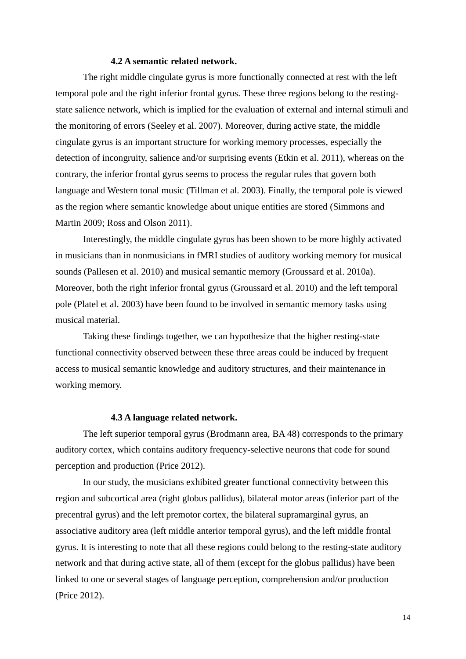### **4.2 A semantic related network.**

The right middle cingulate gyrus is more functionally connected at rest with the left temporal pole and the right inferior frontal gyrus. These three regions belong to the restingstate salience network, which is implied for the evaluation of external and internal stimuli and the monitoring of errors (Seeley et al. 2007). Moreover, during active state, the middle cingulate gyrus is an important structure for working memory processes, especially the detection of incongruity, salience and/or surprising events (Etkin et al. 2011), whereas on the contrary, the inferior frontal gyrus seems to process the regular rules that govern both language and Western tonal music (Tillman et al. 2003). Finally, the temporal pole is viewed as the region where semantic knowledge about unique entities are stored (Simmons and Martin 2009; Ross and Olson 2011).

Interestingly, the middle cingulate gyrus has been shown to be more highly activated in musicians than in nonmusicians in fMRI studies of auditory working memory for musical sounds (Pallesen et al. 2010) and musical semantic memory (Groussard et al. 2010a). Moreover, both the right inferior frontal gyrus (Groussard et al. 2010) and the left temporal pole (Platel et al. 2003) have been found to be involved in semantic memory tasks using musical material.

Taking these findings together, we can hypothesize that the higher resting-state functional connectivity observed between these three areas could be induced by frequent access to musical semantic knowledge and auditory structures, and their maintenance in working memory.

#### **4.3 A language related network.**

The left superior temporal gyrus (Brodmann area, BA 48) corresponds to the primary auditory cortex, which contains auditory frequency-selective neurons that code for sound perception and production (Price 2012).

In our study, the musicians exhibited greater functional connectivity between this region and subcortical area (right globus pallidus), bilateral motor areas (inferior part of the precentral gyrus) and the left premotor cortex, the bilateral supramarginal gyrus, an associative auditory area (left middle anterior temporal gyrus), and the left middle frontal gyrus. It is interesting to note that all these regions could belong to the resting-state auditory network and that during active state, all of them (except for the globus pallidus) have been linked to one or several stages of language perception, comprehension and/or production (Price 2012).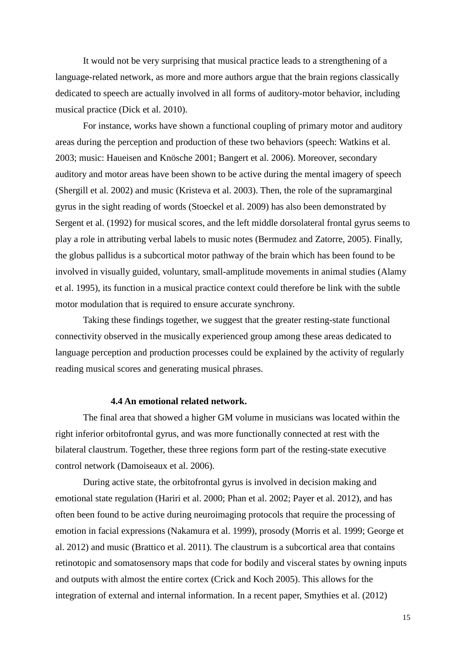It would not be very surprising that musical practice leads to a strengthening of a language-related network, as more and more authors argue that the brain regions classically dedicated to speech are actually involved in all forms of auditory-motor behavior, including musical practice (Dick et al. 2010).

For instance, works have shown a functional coupling of primary motor and auditory areas during the perception and production of these two behaviors (speech: Watkins et al. 2003; music: Haueisen and Knösche 2001; Bangert et al. 2006). Moreover, secondary auditory and motor areas have been shown to be active during the mental imagery of speech (Shergill et al. 2002) and music (Kristeva et al. 2003). Then, the role of the supramarginal gyrus in the sight reading of words (Stoeckel et al. 2009) has also been demonstrated by Sergent et al. (1992) for musical scores, and the left middle dorsolateral frontal gyrus seems to play a role in attributing verbal labels to music notes (Bermudez and Zatorre, 2005). Finally, the globus pallidus is a subcortical motor pathway of the brain which has been found to be involved in visually guided, voluntary, small-amplitude movements in animal studies (Alamy et al. 1995), its function in a musical practice context could therefore be link with the subtle motor modulation that is required to ensure accurate synchrony.

Taking these findings together, we suggest that the greater resting-state functional connectivity observed in the musically experienced group among these areas dedicated to language perception and production processes could be explained by the activity of regularly reading musical scores and generating musical phrases.

### **4.4 An emotional related network.**

The final area that showed a higher GM volume in musicians was located within the right inferior orbitofrontal gyrus, and was more functionally connected at rest with the bilateral claustrum. Together, these three regions form part of the resting-state executive control network (Damoiseaux et al. 2006).

During active state, the orbitofrontal gyrus is involved in decision making and emotional state regulation (Hariri et al. 2000; Phan et al. 2002; Payer et al. 2012), and has often been found to be active during neuroimaging protocols that require the processing of emotion in facial expressions (Nakamura et al. 1999), prosody (Morris et al. 1999; George et al. 2012) and music (Brattico et al. 2011). The claustrum is a subcortical area that contains retinotopic and somatosensory maps that code for bodily and visceral states by owning inputs and outputs with almost the entire cortex (Crick and Koch 2005). This allows for the integration of external and internal information. In a recent paper, Smythies et al. (2012)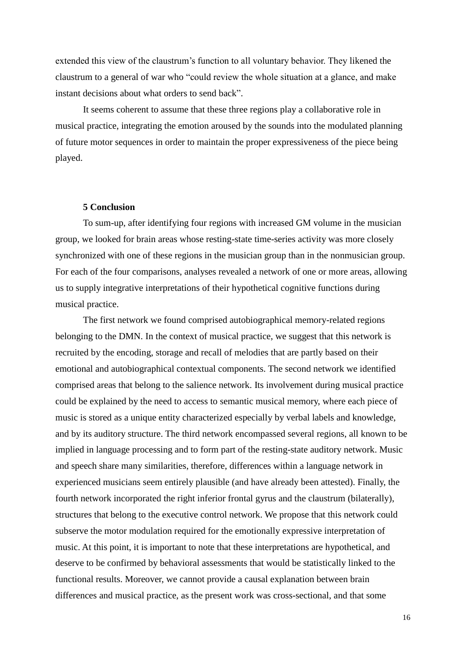extended this view of the claustrum's function to all voluntary behavior. They likened the claustrum to a general of war who "could review the whole situation at a glance, and make instant decisions about what orders to send back".

It seems coherent to assume that these three regions play a collaborative role in musical practice, integrating the emotion aroused by the sounds into the modulated planning of future motor sequences in order to maintain the proper expressiveness of the piece being played.

### **5 Conclusion**

To sum-up, after identifying four regions with increased GM volume in the musician group, we looked for brain areas whose resting-state time-series activity was more closely synchronized with one of these regions in the musician group than in the nonmusician group. For each of the four comparisons, analyses revealed a network of one or more areas, allowing us to supply integrative interpretations of their hypothetical cognitive functions during musical practice.

The first network we found comprised autobiographical memory-related regions belonging to the DMN. In the context of musical practice, we suggest that this network is recruited by the encoding, storage and recall of melodies that are partly based on their emotional and autobiographical contextual components. The second network we identified comprised areas that belong to the salience network. Its involvement during musical practice could be explained by the need to access to semantic musical memory, where each piece of music is stored as a unique entity characterized especially by verbal labels and knowledge, and by its auditory structure. The third network encompassed several regions, all known to be implied in language processing and to form part of the resting-state auditory network. Music and speech share many similarities, therefore, differences within a language network in experienced musicians seem entirely plausible (and have already been attested). Finally, the fourth network incorporated the right inferior frontal gyrus and the claustrum (bilaterally), structures that belong to the executive control network. We propose that this network could subserve the motor modulation required for the emotionally expressive interpretation of music. At this point, it is important to note that these interpretations are hypothetical, and deserve to be confirmed by behavioral assessments that would be statistically linked to the functional results. Moreover, we cannot provide a causal explanation between brain differences and musical practice, as the present work was cross-sectional, and that some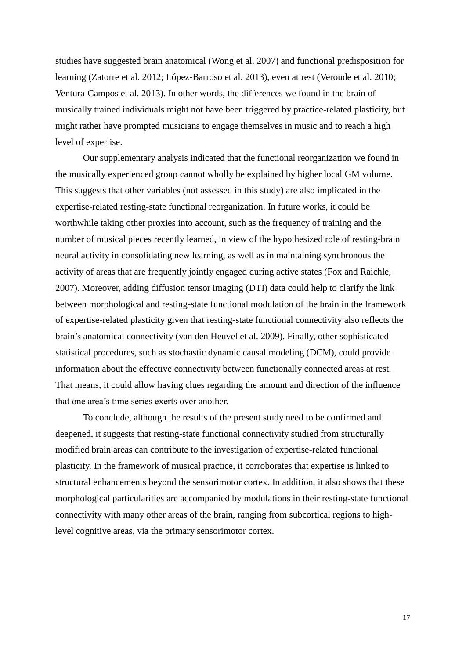studies have suggested brain anatomical (Wong et al. 2007) and functional predisposition for learning (Zatorre et al. 2012; López-Barroso et al. 2013), even at rest (Veroude et al. 2010; Ventura-Campos et al. 2013). In other words, the differences we found in the brain of musically trained individuals might not have been triggered by practice-related plasticity, but might rather have prompted musicians to engage themselves in music and to reach a high level of expertise.

Our supplementary analysis indicated that the functional reorganization we found in the musically experienced group cannot wholly be explained by higher local GM volume. This suggests that other variables (not assessed in this study) are also implicated in the expertise-related resting-state functional reorganization. In future works, it could be worthwhile taking other proxies into account, such as the frequency of training and the number of musical pieces recently learned, in view of the hypothesized role of resting-brain neural activity in consolidating new learning, as well as in maintaining synchronous the activity of areas that are frequently jointly engaged during active states (Fox and Raichle, 2007). Moreover, adding diffusion tensor imaging (DTI) data could help to clarify the link between morphological and resting-state functional modulation of the brain in the framework of expertise-related plasticity given that resting-state functional connectivity also reflects the brain"s anatomical connectivity (van den Heuvel et al. 2009). Finally, other sophisticated statistical procedures, such as stochastic dynamic causal modeling (DCM), could provide information about the effective connectivity between functionally connected areas at rest. That means, it could allow having clues regarding the amount and direction of the influence that one area"s time series exerts over another.

To conclude, although the results of the present study need to be confirmed and deepened, it suggests that resting-state functional connectivity studied from structurally modified brain areas can contribute to the investigation of expertise-related functional plasticity. In the framework of musical practice, it corroborates that expertise is linked to structural enhancements beyond the sensorimotor cortex. In addition, it also shows that these morphological particularities are accompanied by modulations in their resting-state functional connectivity with many other areas of the brain, ranging from subcortical regions to highlevel cognitive areas, via the primary sensorimotor cortex.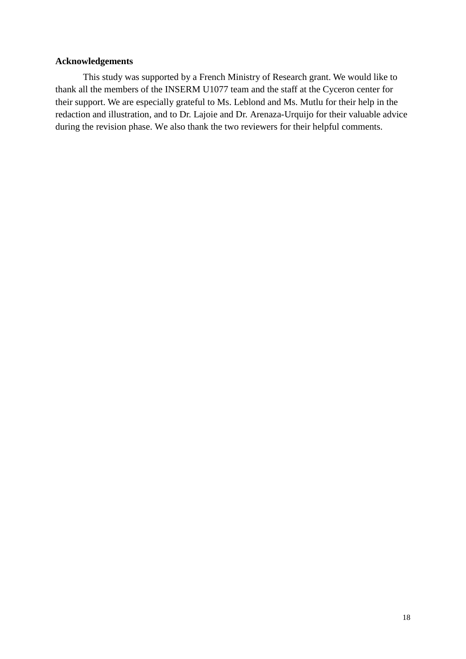# **Acknowledgements**

This study was supported by a French Ministry of Research grant. We would like to thank all the members of the INSERM U1077 team and the staff at the Cyceron center for their support. We are especially grateful to Ms. Leblond and Ms. Mutlu for their help in the redaction and illustration, and to Dr. Lajoie and Dr. Arenaza-Urquijo for their valuable advice during the revision phase. We also thank the two reviewers for their helpful comments.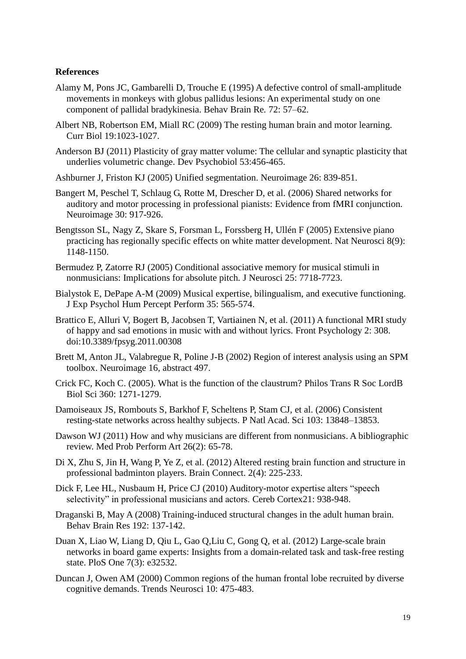# **References**

- Alamy M, Pons JC, Gambarelli D, Trouche E (1995) A defective control of small-amplitude movements in monkeys with globus pallidus lesions: An experimental study on one component of pallidal bradykinesia. Behav Brain Re*.* 72: 57–62.
- Albert NB, Robertson EM, Miall RC (2009) The resting human brain and motor learning. Curr Biol 19:1023-1027.
- Anderson BJ (2011) Plasticity of gray matter volume: The cellular and synaptic plasticity that underlies volumetric change. Dev Psychobiol 53:456-465.
- Ashburner J, Friston KJ (2005) Unified segmentation. Neuroimage 26: 839-851.
- Bangert M, Peschel T, Schlaug G, Rotte M, Drescher D, et al. (2006) Shared networks for auditory and motor processing in professional pianists: Evidence from fMRI conjunction. Neuroimage 30: 917-926.
- Bengtsson SL, Nagy Z, Skare S, Forsman L, Forssberg H, Ullén F (2005) Extensive piano practicing has regionally specific effects on white matter development. Nat Neurosci 8(9): 1148-1150.
- Bermudez P, Zatorre RJ (2005) Conditional associative memory for musical stimuli in nonmusicians: Implications for absolute pitch. J Neurosci 25: 7718-7723.
- Bialystok E, DePape A-M (2009) Musical expertise, bilingualism, and executive functioning. J Exp Psychol Hum Percept Perform 35: 565-574.
- Brattico E, Alluri V, Bogert B, Jacobsen T, Vartiainen N, et al. (2011) A functional MRI study of happy and sad emotions in music with and without lyrics. Front Psychology 2: 308. doi:10.3389/fpsyg.2011.00308
- Brett M, Anton JL, Valabregue R, Poline J-B (2002) Region of interest analysis using an SPM toolbox. Neuroimage 16, abstract 497.
- Crick FC, Koch C. (2005). What is the function of the claustrum? Philos Trans R Soc LordB Biol Sci 360: 1271-1279.
- Damoiseaux JS, Rombouts S, Barkhof F, Scheltens P, Stam CJ, et al. (2006) Consistent resting-state networks across healthy subjects. P Natl Acad. Sci 103: 13848–13853.
- Dawson WJ (2011) How and why musicians are different from nonmusicians. A bibliographic review. Med Prob Perform Art 26(2): 65-78.
- Di X, Zhu S, Jin H, Wang P, Ye Z, et al. (2012) Altered resting brain function and structure in professional badminton players. Brain Connect. 2(4): 225-233.
- Dick F, Lee HL, Nusbaum H, Price CJ (2010) Auditory-motor expertise alters "speech selectivity" in professional musicians and actors. Cereb Cortex21: 938-948.
- Draganski B, May A (2008) Training-induced structural changes in the adult human brain. Behav Brain Res 192: 137-142.
- Duan X, Liao W, Liang D, Qiu L, Gao Q,Liu C, Gong Q, et al. (2012) Large-scale brain networks in board game experts: Insights from a domain-related task and task-free resting state. PloS One 7(3): e32532.
- Duncan J, Owen AM (2000) Common regions of the human frontal lobe recruited by diverse cognitive demands. Trends Neurosci 10: 475-483.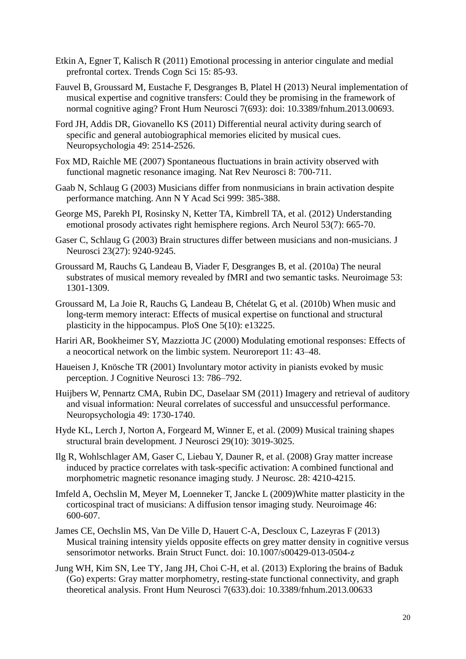- Etkin A, Egner T, Kalisch R (2011) Emotional processing in anterior cingulate and medial prefrontal cortex. Trends Cogn Sci 15: 85-93.
- Fauvel B, Groussard M, Eustache F, Desgranges B, Platel H (2013) Neural implementation of musical expertise and cognitive transfers: Could they be promising in the framework of normal cognitive aging? Front Hum Neurosci 7(693): doi: 10.3389/fnhum.2013.00693.
- Ford JH, Addis DR, Giovanello KS (2011) Differential neural activity during search of specific and general autobiographical memories elicited by musical cues. Neuropsychologia 49: 2514-2526.
- Fox MD, Raichle ME (2007) Spontaneous fluctuations in brain activity observed with functional magnetic resonance imaging. Nat Rev Neurosci 8: 700-711.
- Gaab N, Schlaug G (2003) Musicians differ from nonmusicians in brain activation despite performance matching. Ann N Y Acad Sci 999: 385-388.
- George MS, Parekh PI, Rosinsky N, Ketter TA, Kimbrell TA, et al. (2012) Understanding emotional prosody activates right hemisphere regions. Arch Neurol 53(7): 665-70.
- Gaser C, Schlaug G (2003) Brain structures differ between musicians and non-musicians. J Neurosci 23(27): 9240-9245.
- Groussard M, Rauchs G, Landeau B, Viader F, Desgranges B, et al. (2010a) The neural substrates of musical memory revealed by fMRI and two semantic tasks. Neuroimage 53: 1301-1309.
- Groussard M, La Joie R, Rauchs G, Landeau B, Chételat G, et al. (2010b) When music and long-term memory interact: Effects of musical expertise on functional and structural plasticity in the hippocampus. PloS One 5(10): e13225.
- Hariri AR, Bookheimer SY, Mazziotta JC (2000) Modulating emotional responses: Effects of a neocortical network on the limbic system. Neuroreport 11: 43–48.
- Haueisen J, Knösche TR (2001) Involuntary motor activity in pianists evoked by music perception. J Cognitive Neurosci 13: 786–792.
- Huijbers W, Pennartz CMA, Rubin DC, Daselaar SM (2011) Imagery and retrieval of auditory and visual information: Neural correlates of successful and unsuccessful performance. Neuropsychologia 49: 1730-1740.
- Hyde KL, Lerch J, Norton A, Forgeard M, Winner E, et al. (2009) Musical training shapes structural brain development. J Neurosci 29(10): 3019-3025.
- Ilg R, Wohlschlager AM, Gaser C, Liebau Y, Dauner R, et al. (2008) Gray matter increase induced by practice correlates with task-specific activation: A combined functional and morphometric magnetic resonance imaging study. J Neurosc*.* 28: 4210-4215.
- Imfeld A, Oechslin M, Meyer M, Loenneker T, Jancke L (2009)White matter plasticity in the corticospinal tract of musicians: A diffusion tensor imaging study. Neuroimage 46: 600-607.
- James CE, Oechslin MS, Van De Ville D, Hauert C-A, Descloux C, Lazeyras F (2013) Musical training intensity yields opposite effects on grey matter density in cognitive versus sensorimotor networks. Brain Struct Funct. doi: 10.1007/s00429-013-0504-z
- Jung WH, Kim SN, Lee TY, Jang JH, Choi C-H, et al. (2013) Exploring the brains of Baduk (Go) experts: Gray matter morphometry, resting-state functional connectivity, and graph theoretical analysis. Front Hum Neurosci 7(633).doi: 10.3389/fnhum.2013.00633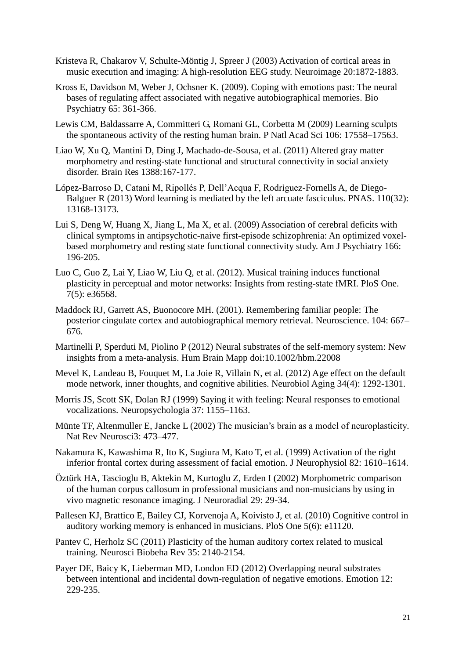- Kristeva R, Chakarov V, Schulte-Möntig J, Spreer J (2003) Activation of cortical areas in music execution and imaging: A high-resolution EEG study. Neuroimage 20:1872-1883.
- Kross E, Davidson M, Weber J, Ochsner K. (2009). Coping with emotions past: The neural bases of regulating affect associated with negative autobiographical memories. Bio Psychiatry 65: 361-366.
- Lewis CM, Baldassarre A, Committeri G, Romani GL, Corbetta M (2009) Learning sculpts the spontaneous activity of the resting human brain. P Natl Acad Sci 106: 17558–17563.
- Liao W, Xu Q, Mantini D, Ding J, Machado-de-Sousa, et al. (2011) Altered gray matter morphometry and resting-state functional and structural connectivity in social anxiety disorder. Brain Res 1388:167-177.
- López-Barroso D, Catani M, Ripollés P, Dell"Acqua F, Rodrỉguez-Fornells A, de Diego-Balguer R (2013) Word learning is mediated by the left arcuate fasciculus. PNAS. 110(32): 13168-13173.
- Lui S, Deng W, Huang X, Jiang L, Ma X, et al. (2009) Association of cerebral deficits with clinical symptoms in antipsychotic-naive first-episode schizophrenia: An optimized voxelbased morphometry and resting state functional connectivity study. Am J Psychiatry 166: 196-205.
- Luo C, Guo Z, Lai Y, Liao W, Liu Q, et al. (2012). Musical training induces functional plasticity in perceptual and motor networks: Insights from resting-state fMRI. PloS One. 7(5): e36568.
- Maddock RJ, Garrett AS, Buonocore MH. (2001). Remembering familiar people: The posterior cingulate cortex and autobiographical memory retrieval. Neuroscience. 104: 667– 676.
- Martinelli P, Sperduti M, Piolino P (2012) Neural substrates of the self-memory system: New insights from a meta-analysis. Hum Brain Mapp doi:10.1002/hbm.22008
- Mevel K, Landeau B, Fouquet M, La Joie R, Villain N, et al. (2012) Age effect on the default mode network, inner thoughts, and cognitive abilities. Neurobiol Aging 34(4): 1292-1301.
- Morris JS, Scott SK, Dolan RJ (1999) Saying it with feeling: Neural responses to emotional vocalizations. Neuropsychologia 37: 1155–1163.
- Münte TF, Altenmuller E, Jancke L (2002) The musician"s brain as a model of neuroplasticity*.* Nat Rev Neurosci3: 473–477.
- Nakamura K, Kawashima R, Ito K, Sugiura M, Kato T, et al. (1999) Activation of the right inferior frontal cortex during assessment of facial emotion. J Neurophysiol 82: 1610–1614.
- Öztürk HA, Tascioglu B, Aktekin M, Kurtoglu Z, Erden I (2002) Morphometric comparison of the human corpus callosum in professional musicians and non-musicians by using in vivo magnetic resonance imaging. J Neuroradial 29: 29-34.
- Pallesen KJ, Brattico E, Bailey CJ, Korvenoja A, Koivisto J, et al. (2010) Cognitive control in auditory working memory is enhanced in musicians. PloS One 5(6): e11120.
- Pantev C, Herholz SC (2011) Plasticity of the human auditory cortex related to musical training. Neurosci Biobeha Rev 35: 2140-2154.
- Payer DE, Baicy K, Lieberman MD, London ED (2012) Overlapping neural substrates between intentional and incidental down-regulation of negative emotions. Emotion 12: 229-235.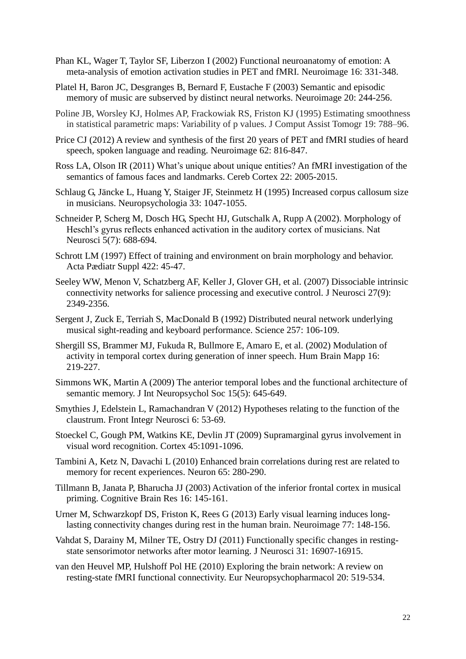- Phan KL, Wager T, Taylor SF, Liberzon I (2002) Functional neuroanatomy of emotion: A meta-analysis of emotion activation studies in PET and fMRI. Neuroimage 16: 331-348.
- Platel H, Baron JC, Desgranges B, Bernard F, Eustache F (2003) Semantic and episodic memory of music are subserved by distinct neural networks. Neuroimage 20: 244-256.
- Poline JB, Worsley KJ, Holmes AP, Frackowiak RS, Friston KJ (1995) Estimating smoothness in statistical parametric maps: Variability of p values. J Comput Assist Tomogr 19: 788–96.
- Price CJ (2012) A review and synthesis of the first 20 years of PET and fMRI studies of heard speech, spoken language and reading. Neuroimage 62: 816-847.
- Ross LA, Olson IR (2011) What"s unique about unique entities? An fMRI investigation of the semantics of famous faces and landmarks. Cereb Cortex 22: 2005-2015.
- Schlaug G, Jäncke L, Huang Y, Staiger JF, Steinmetz H (1995) Increased corpus callosum size in musicians. Neuropsychologia 33: 1047-1055.
- Schneider P, Scherg M, Dosch HG, Specht HJ, Gutschalk A, Rupp A (2002). Morphology of Heschl"s gyrus reflects enhanced activation in the auditory cortex of musicians. Nat Neurosci 5(7): 688-694.
- Schrott LM (1997) Effect of training and environment on brain morphology and behavior. Acta Pædiatr Suppl 422: 45-47.
- Seeley WW, Menon V, Schatzberg AF, Keller J, Glover GH, et al. (2007) Dissociable intrinsic connectivity networks for salience processing and executive control. J Neurosci 27(9): 2349-2356.
- Sergent J, Zuck E, Terriah S, MacDonald B (1992) Distributed neural network underlying musical sight-reading and keyboard performance. Science 257: 106-109.
- Shergill SS, Brammer MJ, Fukuda R, Bullmore E, Amaro E, et al. (2002) Modulation of activity in temporal cortex during generation of inner speech. Hum Brain Mapp 16: 219-227.
- Simmons WK, Martin A (2009) The anterior temporal lobes and the functional architecture of semantic memory. J Int Neuropsychol Soc 15(5): 645-649.
- Smythies J, Edelstein L, Ramachandran V (2012) Hypotheses relating to the function of the claustrum. Front Integr Neurosci 6: 53-69.
- Stoeckel C, Gough PM, Watkins KE, Devlin JT (2009) Supramarginal gyrus involvement in visual word recognition. Cortex 45:1091-1096.
- Tambini A, Ketz N, Davachi L (2010) Enhanced brain correlations during rest are related to memory for recent experiences. Neuron 65: 280-290.
- Tillmann B, Janata P, Bharucha JJ (2003) Activation of the inferior frontal cortex in musical priming. Cognitive Brain Res 16: 145-161.
- Urner M, Schwarzkopf DS, Friston K, Rees G (2013) Early visual learning induces longlasting connectivity changes during rest in the human brain. Neuroimage 77: 148-156.
- Vahdat S, Darainy M, Milner TE, Ostry DJ (2011) Functionally specific changes in restingstate sensorimotor networks after motor learning. J Neurosci 31: 16907-16915.
- van den Heuvel MP, Hulshoff Pol HE (2010) Exploring the brain network: A review on resting-state fMRI functional connectivity. Eur Neuropsychopharmacol 20: 519-534.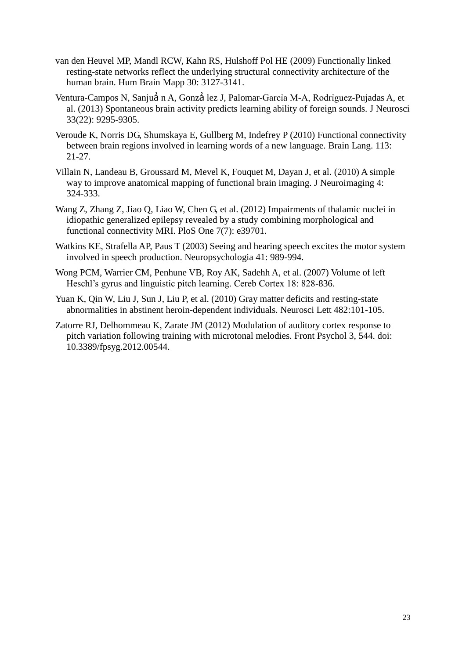- van den Heuvel MP, Mandl RCW, Kahn RS, Hulshoff Pol HE (2009) Functionally linked resting-state networks reflect the underlying structural connectivity architecture of the human brain. Hum Brain Mapp 30: 3127-3141.
- Ventura-Campos N, Sanjuà n A, Gonzà lez J, Palomar-Garcia M-A, Rodriguez-Pujadas A, et al. (2013) Spontaneous brain activity predicts learning ability of foreign sounds. J Neurosci 33(22): 9295-9305.
- Veroude K, Norris DG, Shumskaya E, Gullberg M, Indefrey P (2010) Functional connectivity between brain regions involved in learning words of a new language. Brain Lang. 113: 21-27.
- Villain N, Landeau B, Groussard M, Mevel K, Fouquet M, Dayan J, et al. (2010) A simple way to improve anatomical mapping of functional brain imaging. J Neuroimaging 4: 324-333.
- Wang Z, Zhang Z, Jiao Q, Liao W, Chen G, et al. (2012) Impairments of thalamic nuclei in idiopathic generalized epilepsy revealed by a study combining morphological and functional connectivity MRI. PloS One 7(7): e39701.
- Watkins KE, Strafella AP, Paus T (2003) Seeing and hearing speech excites the motor system involved in speech production. Neuropsychologia 41: 989-994.
- Wong PCM, Warrier CM, Penhune VB, Roy AK, Sadehh A, et al. (2007) Volume of left Heschl"s gyrus and linguistic pitch learning. Cereb Cortex 18: 828-836.
- Yuan K, Qin W, Liu J, Sun J, Liu P, et al. (2010) Gray matter deficits and resting-state abnormalities in abstinent heroin-dependent individuals. Neurosci Lett 482:101-105.
- Zatorre RJ, Delhommeau K, Zarate JM (2012) Modulation of auditory cortex response to pitch variation following training with microtonal melodies. Front Psychol 3, 544. doi: 10.3389/fpsyg.2012.00544.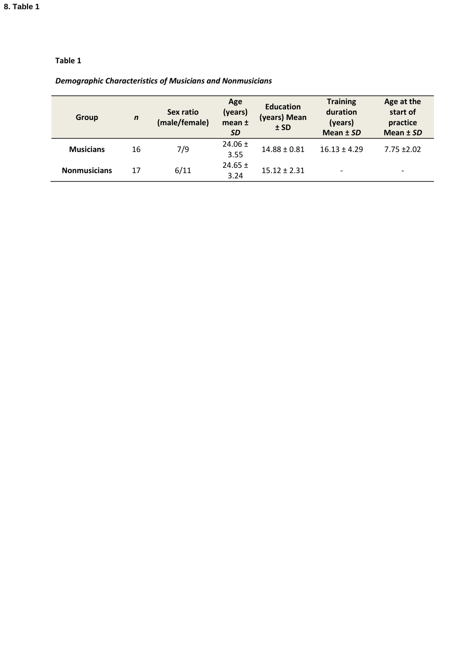# **Table 1**

# *Demographic Characteristics of Musicians and Nonmusicians*

| Group               | $\mathbf n$ | Sex ratio<br>(male/female) | Age<br>(years)<br>mean ±<br><b>SD</b> | <b>Education</b><br>(years) Mean<br>$±$ SD | <b>Training</b><br>duration<br>(years)<br>Mean $±$ SD | Age at the<br>start of<br>practice<br>Mean ± SD |
|---------------------|-------------|----------------------------|---------------------------------------|--------------------------------------------|-------------------------------------------------------|-------------------------------------------------|
| <b>Musicians</b>    | 16          | 7/9                        | $24.06 \pm$<br>3.55                   | $14.88 \pm 0.81$                           | $16.13 + 4.29$                                        | $7.75 \pm 2.02$                                 |
| <b>Nonmusicians</b> | 17          | 6/11                       | $24.65 \pm$<br>3.24                   | $15.12 + 2.31$                             |                                                       |                                                 |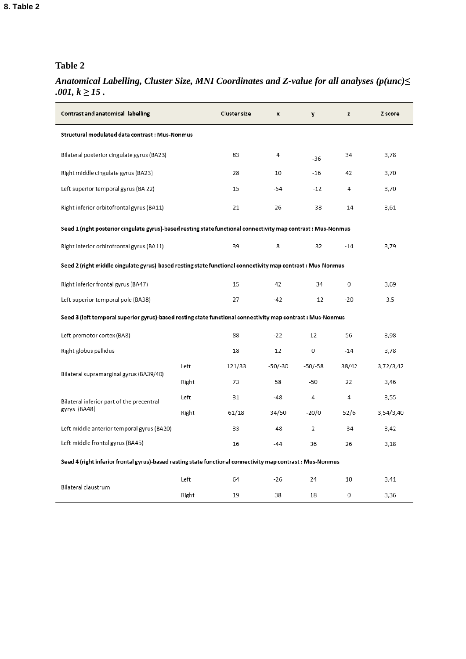# **Table 2**

# *Anatomical Labelling, Cluster Size, MNI Coordinates and Z-value for all analyses (p(unc)≤ .001,*  $k \ge 15$ .

| Contrast and anatomical labelling                                                                              |       | Cluster size | X       | y       | z     | Z score   |  |  |  |  |  |
|----------------------------------------------------------------------------------------------------------------|-------|--------------|---------|---------|-------|-----------|--|--|--|--|--|
| Structural modulated data contrast : Mus-Nonmus                                                                |       |              |         |         |       |           |  |  |  |  |  |
| Bilateral posterior cingulate gyrus (BA23)                                                                     | 83    | 4            | -36     | 34      | 3,78  |           |  |  |  |  |  |
| Right middle cingulate gyrus (BA23)                                                                            | 28    | 10           | $-16$   | 42      | 3,70  |           |  |  |  |  |  |
| Left superior temporal gyrus (BA 22)                                                                           | 15    | -54          | $-12$   | 4       | 3,70  |           |  |  |  |  |  |
| Right inferior orbitofrontal gyrus (BA11)                                                                      | 21    | 26           | 38      | $-14$   | 3,61  |           |  |  |  |  |  |
| Seed 1 (right posterior cingulate gyrus)-based resting state functional connectivity map contrast : Mus-Nonmus |       |              |         |         |       |           |  |  |  |  |  |
| Right inferior orbitofrontal gyrus (BA11)                                                                      | 39    | 8            | 32      | $-14$   | 3,79  |           |  |  |  |  |  |
| Seed 2 (right middle cingulate gyrus)-based resting state functional connectivity map contrast : Mus-Nonmus    |       |              |         |         |       |           |  |  |  |  |  |
| Right inferior frontal gyrus (BA47)                                                                            | 15    | 42           | 34      | 0       | 3,69  |           |  |  |  |  |  |
| Left superior temporal pole (BA38)                                                                             | 27    | $-42$        | 12      | $-20$   | 3,5   |           |  |  |  |  |  |
| Seed 3 (left temporal superior gyrus)-based resting state functional connectivity map contrast : Mus-Nonmus    |       |              |         |         |       |           |  |  |  |  |  |
| Left premotor cortex (BA8)                                                                                     | 88    | $-22$        | 12      | 56      | 3,98  |           |  |  |  |  |  |
| Right globus pallidus                                                                                          |       | 18           | 12      | 0       | $-14$ | 3.78      |  |  |  |  |  |
| Bilateral supramarginal gyrus (BA39/40)                                                                        | Left  | 121/33       | -50/-30 | -50/-58 | 38/42 | 3,72/3,42 |  |  |  |  |  |
|                                                                                                                | Right | 73           | 58      | $-50$   | 22    | 3,46      |  |  |  |  |  |
| Bilateral inferior part of the precentral                                                                      | Left  | 31           | -48     | 4       | 4     | 3.55      |  |  |  |  |  |
| gyrys (BA48)                                                                                                   | Right | 61/18        | 34/50   | $-20/0$ | 52/6  | 3,54/3,40 |  |  |  |  |  |
| Left middle anterior temporal gyrus (BA20)                                                                     |       | 33           | -48     | 2       | $-34$ | 3,42      |  |  |  |  |  |
| Left middle frontal gyrus (BA45)                                                                               | 16    | $-44$        | 36      | 26      | 3,18  |           |  |  |  |  |  |
| Seed 4 (right inferior frontal gyrus)-based resting state functional connectivity map contrast : Mus-Nonmus    |       |              |         |         |       |           |  |  |  |  |  |
|                                                                                                                | Left  | 64           | $-26$   | 24      | 10    | 3,41      |  |  |  |  |  |
| Bilateral claustrum                                                                                            | Right | 19           | 38      | 18      | 0     | 3,36      |  |  |  |  |  |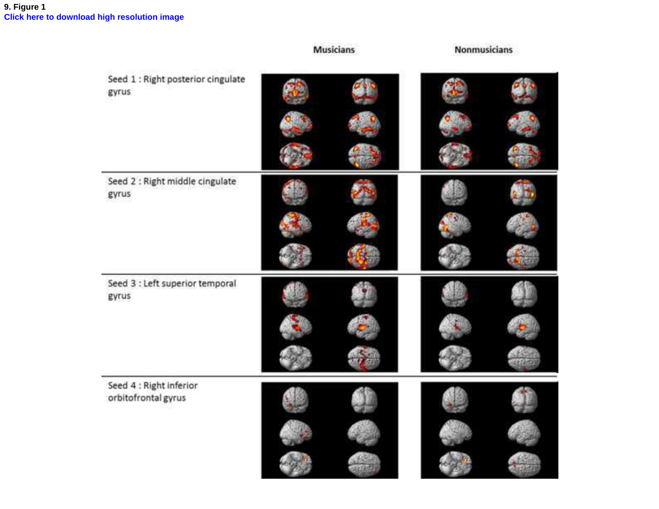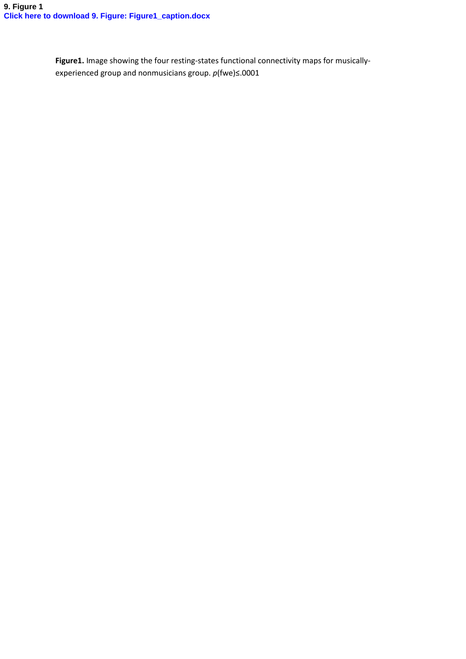**Figure1.** Image showing the four resting-states functional connectivity maps for musicallyexperienced group and nonmusicians group. p(fwe)≤.0001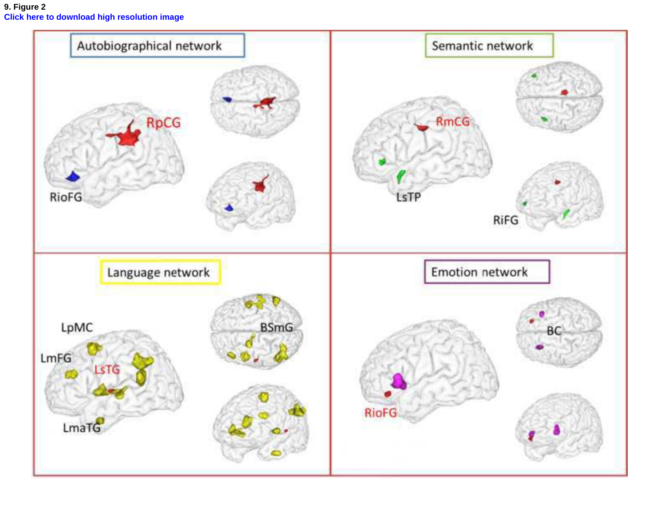**9. Figure 2 [Click here to download high resolution image](http://ees.elsevier.com/ynimg/download.aspx?id=1138480&guid=475357eb-80a2-487c-a561-b824afb08a95&scheme=1)**

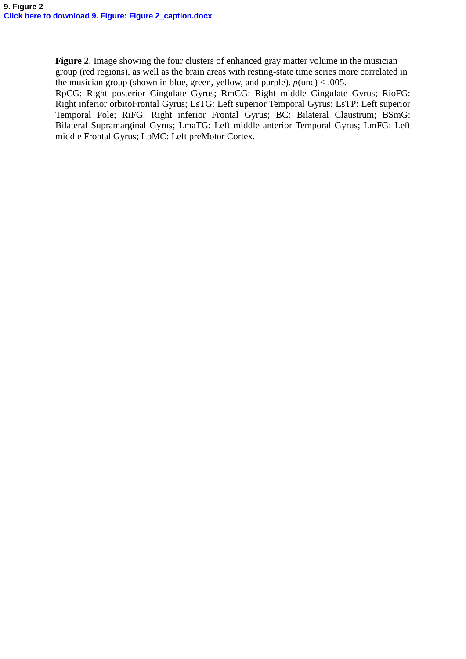**Figure 2**. Image showing the four clusters of enhanced gray matter volume in the musician group (red regions), as well as the brain areas with resting-state time series more correlated in the musician group (shown in blue, green, yellow, and purple).  $p(\text{unc}) < .005$ .

RpCG: Right posterior Cingulate Gyrus; RmCG: Right middle Cingulate Gyrus; RioFG: Right inferior orbitoFrontal Gyrus; LsTG: Left superior Temporal Gyrus; LsTP: Left superior Temporal Pole; RiFG: Right inferior Frontal Gyrus; BC: Bilateral Claustrum; BSmG: Bilateral Supramarginal Gyrus; LmaTG: Left middle anterior Temporal Gyrus; LmFG: Left middle Frontal Gyrus; LpMC: Left preMotor Cortex.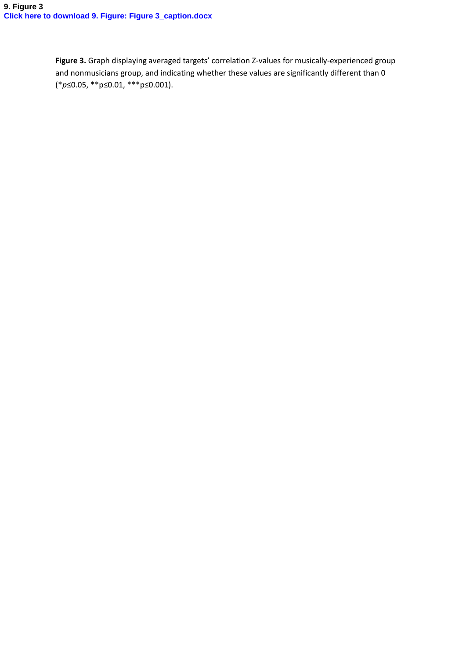**Figure 3.** Graph displaying averaged targets' correlation Z-values for musically-experienced group and nonmusicians group, and indicating whether these values are significantly different than 0 (\**p*≤0.05, \*\*p≤0.01, \*\*\*p≤0.001).